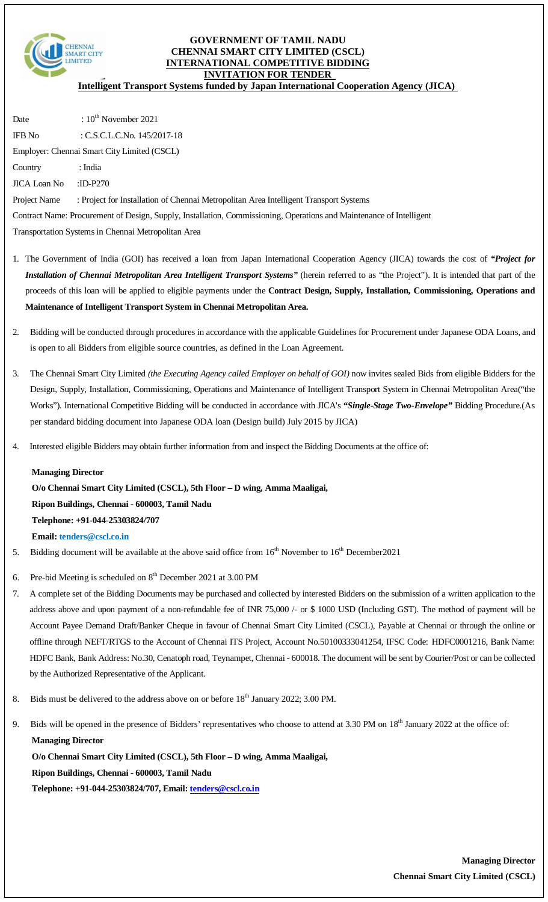

#### **GOVERNMENT OF TAMIL NADU CHENNAI SMART CITY LIMITED (CSCL) INTERNATIONAL COMPETITIVE BIDDING INVITATION FOR TENDER**

**Intelligent Transport Systems funded by Japan International Cooperation Agency (JICA)**

Date  $: 10^{th}$  November 2021 IFB No : C.S.C.L.C.No. 145/2017-18 Employer: Chennai Smart City Limited (CSCL) Country : India JICA Loan No :ID-P270 Project Name : Project for Installation of Chennai Metropolitan Area Intelligent Transport Systems Contract Name: Procurement of Design, Supply, Installation, Commissioning, Operations and Maintenance of Intelligent Transportation Systems in Chennai Metropolitan Area

- 1. The Government of India (GOI) has received a loan from Japan International Cooperation Agency (JICA) towards the cost of *"Project for Installation of Chennai Metropolitan Area Intelligent Transport Systems"* (herein referred to as "the Project"). It is intended that part of the proceeds of this loan will be applied to eligible payments under the **Contract Design, Supply, Installation, Commissioning, Operations and Maintenance of Intelligent Transport System in Chennai Metropolitan Area.**
- 2. Bidding will be conducted through procedures in accordance with the applicable Guidelines for Procurement under Japanese ODA Loans, and is open to all Bidders from eligible source countries, as defined in the Loan Agreement.
- 3. The Chennai Smart City Limited *(the Executing Agency called Employer on behalf of GOI)* now invites sealed Bids from eligible Bidders for the Design, Supply, Installation, Commissioning, Operations and Maintenance of Intelligent Transport System in Chennai Metropolitan Area("the Works")*.* International Competitive Bidding will be conducted in accordance with JICA's *"Single-Stage Two-Envelope"* Bidding Procedure.(As per standard bidding document into Japanese ODA loan (Design build) July 2015 by JICA)
- 4. Interested eligible Bidders may obtain further information from and inspect the Bidding Documents at the office of:

#### **Managing Director**

**O/o Chennai Smart City Limited (CSCL), 5th Floor – D wing, Amma Maaligai, Ripon Buildings, Chennai - 600003, Tamil Nadu Telephone: +91-044-25303824/707 Email: tenders@cscl.co.in**

- 5. Bidding document will be available at the above said office from  $16<sup>th</sup>$  November to  $16<sup>th</sup>$  December 2021
- 6. Pre-bid Meeting is scheduled on  $8<sup>th</sup>$  December 2021 at 3.00 PM
- 7. A complete set of the Bidding Documents may be purchased and collected by interested Bidders on the submission of a written application to the address above and upon payment of a non-refundable fee of INR 75,000 /- or \$ 1000 USD (Including GST). The method of payment will be Account Payee Demand Draft/Banker Cheque in favour of Chennai Smart City Limited (CSCL), Payable at Chennai or through the online or offline through NEFT/RTGS to the Account of Chennai ITS Project, Account No.50100333041254, IFSC Code: HDFC0001216, Bank Name: HDFC Bank, Bank Address: No.30, Cenatoph road, Teynampet, Chennai - 600018. The document will be sent by Courier/Post or can be collected by the Authorized Representative of the Applicant.
- 8. Bids must be delivered to the address above on or before  $18<sup>th</sup>$  January 2022; 3.00 PM.
- 9. Bids will be opened in the presence of Bidders' representatives who choose to attend at 3.30 PM on 18<sup>th</sup> January 2022 at the office of: **Managing Director**

**O/o Chennai Smart City Limited (CSCL), 5th Floor – D wing, Amma Maaligai, Ripon Buildings, Chennai - 600003, Tamil Nadu Telephone: +91-044-25303824/707, Email: tenders@cscl.co.in**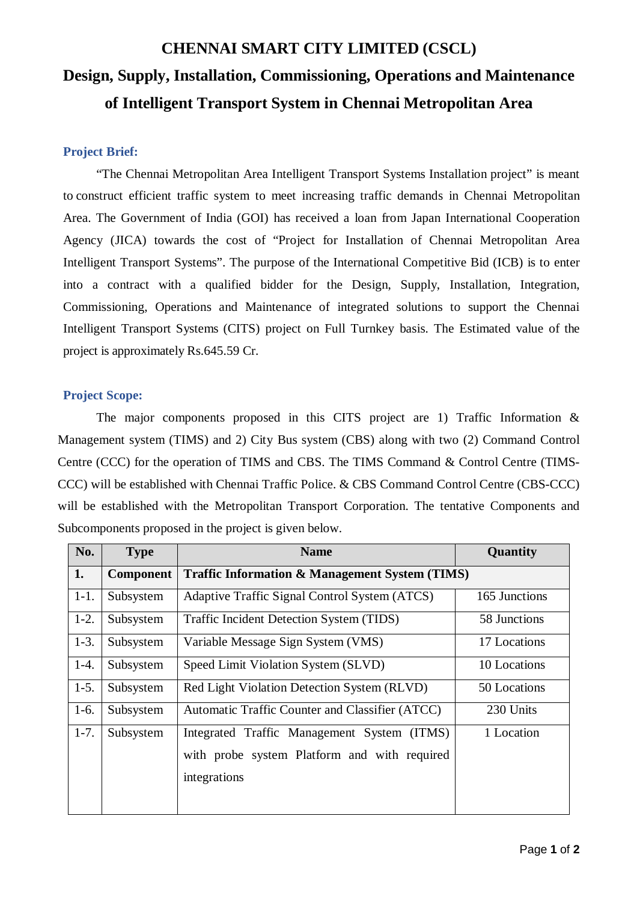# **CHENNAI SMART CITY LIMITED (CSCL) Design, Supply, Installation, Commissioning, Operations and Maintenance of Intelligent Transport System in Chennai Metropolitan Area**

### **Project Brief:**

"The Chennai Metropolitan Area Intelligent Transport Systems Installation project" is meant to construct efficient traffic system to meet increasing traffic demands in Chennai Metropolitan Area. The Government of India (GOI) has received a loan from Japan International Cooperation Agency (JICA) towards the cost of "Project for Installation of Chennai Metropolitan Area Intelligent Transport Systems". The purpose of the International Competitive Bid (ICB) is to enter into a contract with a qualified bidder for the Design, Supply, Installation, Integration, Commissioning, Operations and Maintenance of integrated solutions to support the Chennai Intelligent Transport Systems (CITS) project on Full Turnkey basis. The Estimated value of the project is approximately Rs.645.59 Cr.

#### **Project Scope:**

The major components proposed in this CITS project are 1) Traffic Information  $\&$ Management system (TIMS) and 2) City Bus system (CBS) along with two (2) Command Control Centre (CCC) for the operation of TIMS and CBS. The TIMS Command & Control Centre (TIMS-CCC) will be established with Chennai Traffic Police. & CBS Command Control Centre (CBS-CCC) will be established with the Metropolitan Transport Corporation. The tentative Components and Subcomponents proposed in the project is given below.

| No.    | <b>Type</b>      | <b>Name</b>                                               | Quantity      |  |
|--------|------------------|-----------------------------------------------------------|---------------|--|
| 1.     | <b>Component</b> | <b>Traffic Information &amp; Management System (TIMS)</b> |               |  |
| $1-1.$ | Subsystem        | Adaptive Traffic Signal Control System (ATCS)             | 165 Junctions |  |
| $1-2.$ | Subsystem        | Traffic Incident Detection System (TIDS)                  | 58 Junctions  |  |
| $1-3.$ | Subsystem        | Variable Message Sign System (VMS)                        | 17 Locations  |  |
| $1-4.$ | Subsystem        | Speed Limit Violation System (SLVD)                       | 10 Locations  |  |
| $1-5.$ | Subsystem        | Red Light Violation Detection System (RLVD)               | 50 Locations  |  |
| $1-6.$ | Subsystem        | Automatic Traffic Counter and Classifier (ATCC)           | 230 Units     |  |
| $1-7.$ | Subsystem        | Integrated Traffic Management System (ITMS)               | 1 Location    |  |
|        |                  | with probe system Platform and with required              |               |  |
|        |                  | integrations                                              |               |  |
|        |                  |                                                           |               |  |